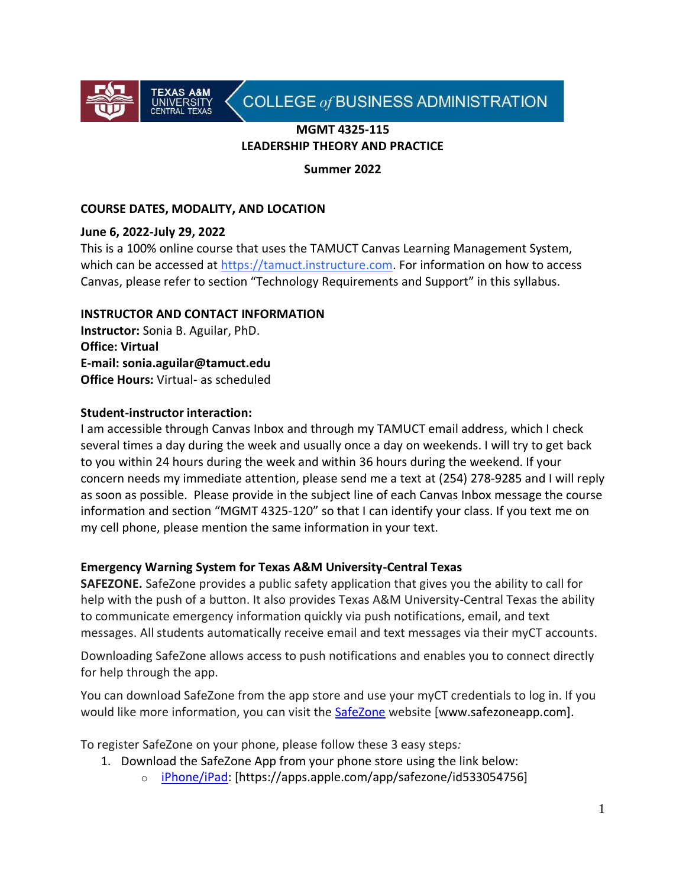

# COLLEGE of BUSINESS ADMINISTRATION

### **MGMT 4325-115 LEADERSHIP THEORY AND PRACTICE**

**Summer 2022**

### **COURSE DATES, MODALITY, AND LOCATION**

#### **June 6, 2022-July 29, 2022**

This is a 100% online course that uses the TAMUCT Canvas Learning Management System, which can be accessed at https://tamuct.instructure.com. For information on how to access Canvas, please refer to section "Technology Requirements and Support" in this syllabus.

#### **INSTRUCTOR AND CONTACT INFORMATION**

**Instructor:** Sonia B. Aguilar, PhD. **Office: Virtual E-mail: sonia.aguilar@tamuct.edu Office Hours:** Virtual- as scheduled

### **Student-instructor interaction:**

I am accessible through Canvas Inbox and through my TAMUCT email address, which I check several times a day during the week and usually once a day on weekends. I will try to get back to you within 24 hours during the week and within 36 hours during the weekend. If your concern needs my immediate attention, please send me a text at (254) 278-9285 and I will reply as soon as possible. Please provide in the subject line of each Canvas Inbox message the course information and section "MGMT 4325-120" so that I can identify your class. If you text me on my cell phone, please mention the same information in your text.

### **Emergency Warning System for Texas A&M University-Central Texas**

**SAFEZONE.** SafeZone provides a public safety application that gives you the ability to call for help with the push of a button. It also provides Texas A&M University-Central Texas the ability to communicate emergency information quickly via push notifications, email, and text messages. All students automatically receive email and text messages via their myCT accounts.

Downloading SafeZone allows access to push notifications and enables you to connect directly for help through the app.

You can download SafeZone from the app store and use your myCT credentials to log in. If you would like more information, you can visit the [SafeZone](http://www.safezoneapp.com/) website [www.safezoneapp.com].

To register SafeZone on your phone, please follow these 3 easy steps*:*

- 1. Download the SafeZone App from your phone store using the link below:
	- o [iPhone/iPad:](https://apps.apple.com/app/safezone/id533054756) [https://apps.apple.com/app/safezone/id533054756]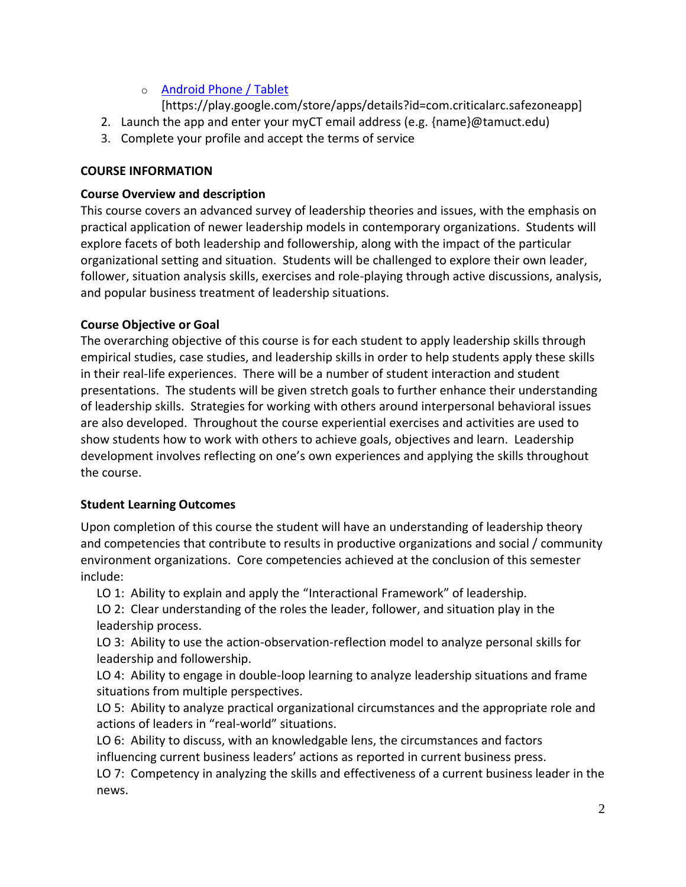# o [Android Phone / Tablet](https://play.google.com/store/apps/details?id=com.criticalarc.safezoneapp)

[https://play.google.com/store/apps/details?id=com.criticalarc.safezoneapp]

- 2. Launch the app and enter your myCT email address (e.g. {name}@tamuct.edu)
- 3. Complete your profile and accept the terms of service

### **COURSE INFORMATION**

### **Course Overview and description**

This course covers an advanced survey of leadership theories and issues, with the emphasis on practical application of newer leadership models in contemporary organizations. Students will explore facets of both leadership and followership, along with the impact of the particular organizational setting and situation. Students will be challenged to explore their own leader, follower, situation analysis skills, exercises and role-playing through active discussions, analysis, and popular business treatment of leadership situations.

### **Course Objective or Goal**

The overarching objective of this course is for each student to apply leadership skills through empirical studies, case studies, and leadership skills in order to help students apply these skills in their real-life experiences. There will be a number of student interaction and student presentations. The students will be given stretch goals to further enhance their understanding of leadership skills. Strategies for working with others around interpersonal behavioral issues are also developed. Throughout the course experiential exercises and activities are used to show students how to work with others to achieve goals, objectives and learn. Leadership development involves reflecting on one's own experiences and applying the skills throughout the course.

### **Student Learning Outcomes**

Upon completion of this course the student will have an understanding of leadership theory and competencies that contribute to results in productive organizations and social / community environment organizations. Core competencies achieved at the conclusion of this semester include:

LO 1: Ability to explain and apply the "Interactional Framework" of leadership.

LO 2: Clear understanding of the roles the leader, follower, and situation play in the leadership process.

LO 3: Ability to use the action-observation-reflection model to analyze personal skills for leadership and followership.

LO 4: Ability to engage in double-loop learning to analyze leadership situations and frame situations from multiple perspectives.

LO 5: Ability to analyze practical organizational circumstances and the appropriate role and actions of leaders in "real-world" situations.

LO 6: Ability to discuss, with an knowledgable lens, the circumstances and factors influencing current business leaders' actions as reported in current business press.

LO 7: Competency in analyzing the skills and effectiveness of a current business leader in the news.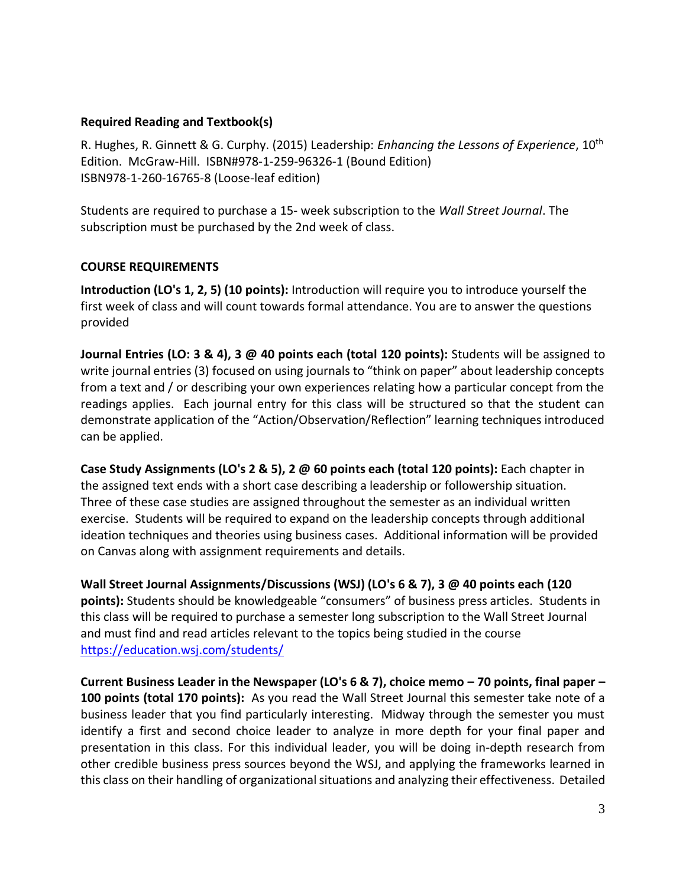#### **Required Reading and Textbook(s)**

R. Hughes, R. Ginnett & G. Curphy. (2015) Leadership: *Enhancing the Lessons of Experience*, 10th Edition. McGraw-Hill. ISBN#978-1-259-96326-1 (Bound Edition) ISBN978-1-260-16765-8 (Loose-leaf edition)

Students are required to purchase a 15- week subscription to the *Wall Street Journal*. The subscription must be purchased by the 2nd week of class.

### **COURSE REQUIREMENTS**

**Introduction (LO's 1, 2, 5) (10 points):** Introduction will require you to introduce yourself the first week of class and will count towards formal attendance. You are to answer the questions provided

**Journal Entries (LO: 3 & 4), 3 @ 40 points each (total 120 points):** Students will be assigned to write journal entries (3) focused on using journals to "think on paper" about leadership concepts from a text and / or describing your own experiences relating how a particular concept from the readings applies. Each journal entry for this class will be structured so that the student can demonstrate application of the "Action/Observation/Reflection" learning techniques introduced can be applied.

**Case Study Assignments (LO's 2 & 5), 2 @ 60 points each (total 120 points):** Each chapter in the assigned text ends with a short case describing a leadership or followership situation. Three of these case studies are assigned throughout the semester as an individual written exercise. Students will be required to expand on the leadership concepts through additional ideation techniques and theories using business cases. Additional information will be provided on Canvas along with assignment requirements and details.

**Wall Street Journal Assignments/Discussions (WSJ) (LO's 6 & 7), 3 @ 40 points each (120 points):** Students should be knowledgeable "consumers" of business press articles. Students in this class will be required to purchase a semester long subscription to the Wall Street Journal and must find and read articles relevant to the topics being studied in the course <https://education.wsj.com/students/>

**Current Business Leader in the Newspaper (LO's 6 & 7), choice memo – 70 points, final paper – 100 points (total 170 points):** As you read the Wall Street Journal this semester take note of a business leader that you find particularly interesting. Midway through the semester you must identify a first and second choice leader to analyze in more depth for your final paper and presentation in this class. For this individual leader, you will be doing in-depth research from other credible business press sources beyond the WSJ, and applying the frameworks learned in this class on their handling of organizational situations and analyzing their effectiveness. Detailed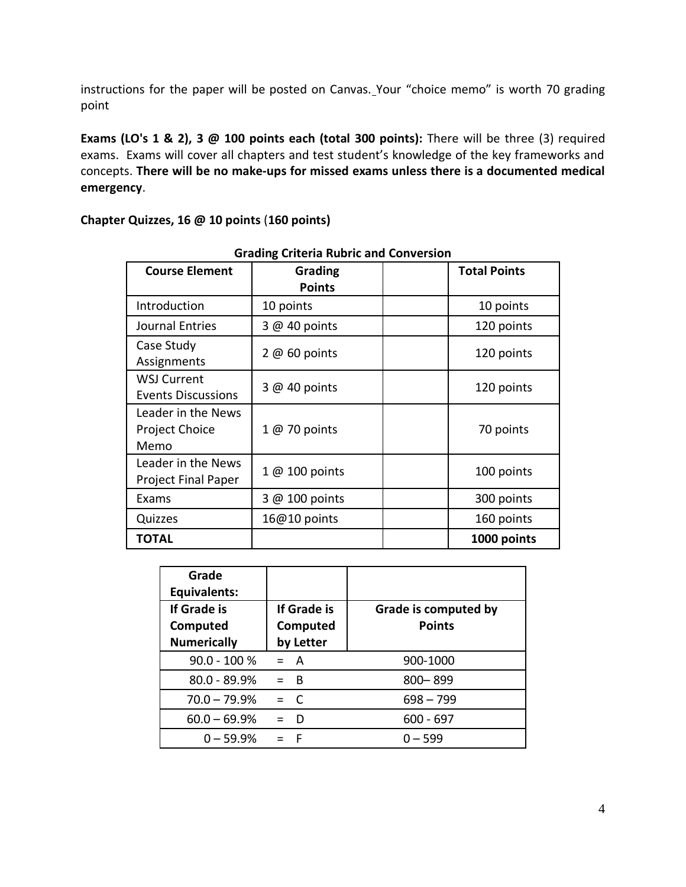instructions for the paper will be posted on Canvas. Your "choice memo" is worth 70 grading point

**Exams (LO's 1 & 2), 3 @ 100 points each (total 300 points):** There will be three (3) required exams. Exams will cover all chapters and test student's knowledge of the key frameworks and concepts. **There will be no make-ups for missed exams unless there is a documented medical emergency**.

| <b>Course Element</b>                               | Grading<br><b>Points</b> | <b>Total Points</b> |
|-----------------------------------------------------|--------------------------|---------------------|
| Introduction                                        | 10 points                | 10 points           |
| Journal Entries                                     | 3 @ 40 points            | 120 points          |
| Case Study<br>Assignments                           | $2@60$ points            | 120 points          |
| <b>WSJ Current</b><br><b>Events Discussions</b>     | $3@40$ points            | 120 points          |
| Leader in the News<br><b>Project Choice</b><br>Memo | 1 @ 70 points            | 70 points           |
| Leader in the News<br><b>Project Final Paper</b>    | 1 @ 100 points           | 100 points          |
| Exams                                               | 3 @ 100 points           | 300 points          |
| Quizzes                                             | 16@10 points             | 160 points          |
| <b>TOTAL</b>                                        |                          | 1000 points         |

**Grading Criteria Rubric and Conversion**

| Grade<br><b>Equivalents:</b><br>If Grade is<br>Computed<br><b>Numerically</b> | If Grade is<br>Computed<br>by Letter | Grade is computed by<br><b>Points</b> |
|-------------------------------------------------------------------------------|--------------------------------------|---------------------------------------|
| $90.0 - 100 %$                                                                | $= A$                                | 900-1000                              |
| $80.0 - 89.9%$                                                                | $=$ B                                | $800 - 899$                           |
| $70.0 - 79.9%$                                                                | $=$ C                                | $698 - 799$                           |
| $60.0 - 69.9%$                                                                | D                                    | $600 - 697$                           |
| $0 - 59.9%$                                                                   | - F                                  | $0 - 599$                             |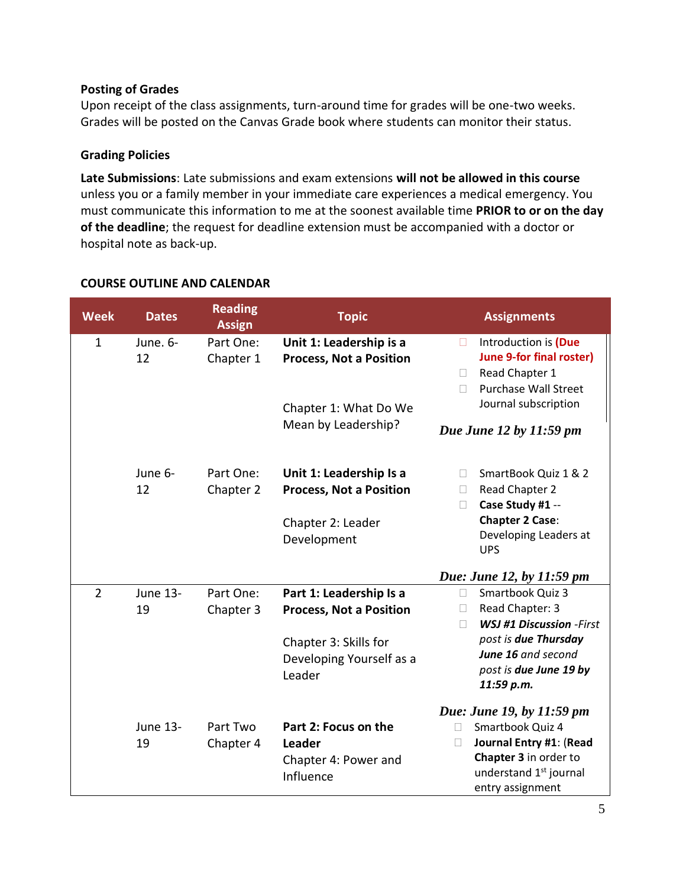### **Posting of Grades**

Upon receipt of the class assignments, turn-around time for grades will be one-two weeks. Grades will be posted on the Canvas Grade book where students can monitor their status.

### **Grading Policies**

**Late Submissions**: Late submissions and exam extensions **will not be allowed in this course** unless you or a family member in your immediate care experiences a medical emergency. You must communicate this information to me at the soonest available time **PRIOR to or on the day of the deadline**; the request for deadline extension must be accompanied with a doctor or hospital note as back-up.

| <b>Week</b>    | <b>Dates</b>          | <b>Reading</b><br><b>Assign</b> | <b>Topic</b>                                                                                                             | <b>Assignments</b>                                                                                                                                                                           |
|----------------|-----------------------|---------------------------------|--------------------------------------------------------------------------------------------------------------------------|----------------------------------------------------------------------------------------------------------------------------------------------------------------------------------------------|
| $\mathbf{1}$   | June. 6-<br>12        | Part One:<br>Chapter 1          | Unit 1: Leadership is a<br><b>Process, Not a Position</b><br>Chapter 1: What Do We<br>Mean by Leadership?                | Introduction is (Due<br>$\mathbb{R}^n$<br><b>June 9-for final roster)</b><br>Read Chapter 1<br>П<br><b>Purchase Wall Street</b><br>$\Box$<br>Journal subscription<br>Due June 12 by 11:59 pm |
|                | June 6-<br>12         | Part One:<br>Chapter 2          | Unit 1: Leadership Is a<br><b>Process, Not a Position</b><br>Chapter 2: Leader<br>Development                            | SmartBook Quiz 1 & 2<br>$\mathbf{L}$<br>Read Chapter 2<br>$\Box$<br>Case Study #1 --<br>П<br><b>Chapter 2 Case:</b><br>Developing Leaders at<br><b>UPS</b>                                   |
|                |                       |                                 |                                                                                                                          | Due: June 12, by 11:59 pm                                                                                                                                                                    |
| $\overline{2}$ | <b>June 13-</b><br>19 | Part One:<br>Chapter 3          | Part 1: Leadership Is a<br><b>Process, Not a Position</b><br>Chapter 3: Skills for<br>Developing Yourself as a<br>Leader | Smartbook Quiz 3<br>П<br>Read Chapter: 3<br>П<br><b>WSJ #1 Discussion -First</b><br>П<br>post is due Thursday<br>June 16 and second<br>post is due June 19 by<br>11:59 p.m.                  |
|                | <b>June 13-</b><br>19 | Part Two<br>Chapter 4           | Part 2: Focus on the<br>Leader<br>Chapter 4: Power and<br>Influence                                                      | Due: June 19, by 11:59 pm<br>Smartbook Quiz 4<br>П<br>Journal Entry #1: (Read<br>П<br>Chapter 3 in order to<br>understand 1 <sup>st</sup> journal<br>entry assignment                        |

### **COURSE OUTLINE AND CALENDAR**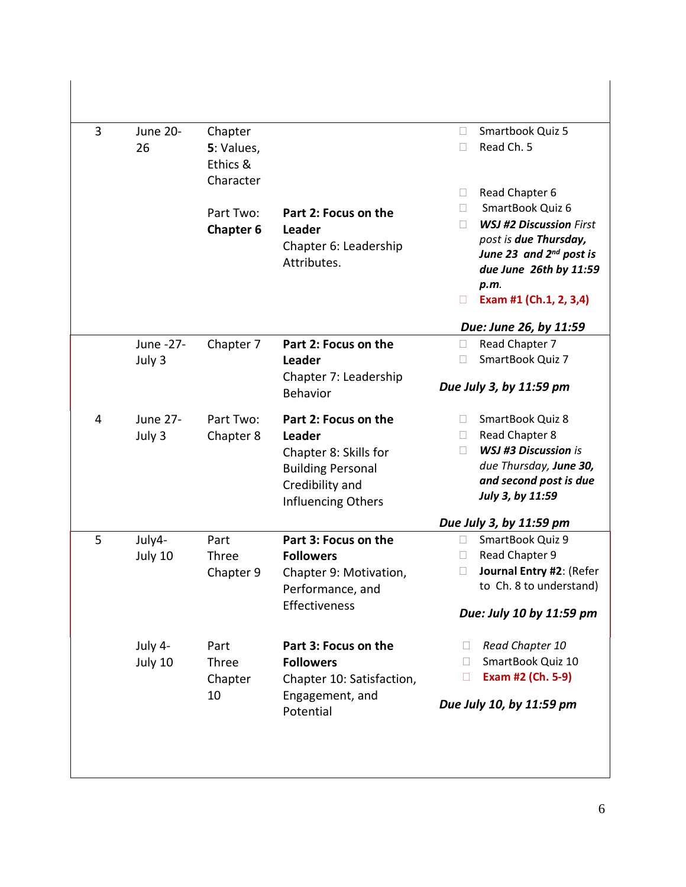| $\overline{3}$ | <b>June 20-</b><br>26     | Chapter<br>5: Values,<br>Ethics &<br>Character |                                                                                                                                     | Smartbook Quiz 5<br>$\Box$<br>Read Ch. 5<br>П                                                                                                                                                                 |
|----------------|---------------------------|------------------------------------------------|-------------------------------------------------------------------------------------------------------------------------------------|---------------------------------------------------------------------------------------------------------------------------------------------------------------------------------------------------------------|
|                |                           | Part Two:<br><b>Chapter 6</b>                  | Part 2: Focus on the<br>Leader<br>Chapter 6: Leadership<br>Attributes.                                                              | Read Chapter 6<br>П<br>SmartBook Quiz 6<br>П<br><b>WSJ #2 Discussion First</b><br>П<br>post is due Thursday,<br>June 23 and 2nd post is<br>due June 26th by 11:59<br>p.m.<br>Exam #1 (Ch.1, 2, 3,4)<br>$\Box$ |
|                |                           |                                                |                                                                                                                                     | Due: June 26, by 11:59                                                                                                                                                                                        |
|                | June -27-                 | Chapter 7                                      | Part 2: Focus on the                                                                                                                | Read Chapter 7<br>$\Box$<br>SmartBook Quiz 7                                                                                                                                                                  |
|                | July 3                    |                                                | <b>Leader</b><br>Chapter 7: Leadership<br><b>Behavior</b>                                                                           | П<br>Due July 3, by 11:59 pm                                                                                                                                                                                  |
| 4              | <b>June 27-</b><br>July 3 | Part Two:<br>Chapter 8                         | Part 2: Focus on the<br>Leader<br>Chapter 8: Skills for<br><b>Building Personal</b><br>Credibility and<br><b>Influencing Others</b> | SmartBook Quiz 8<br>Read Chapter 8<br>$\Box$<br><b>WSJ #3 Discussion is</b><br>П<br>due Thursday, June 30,<br>and second post is due<br>July 3, by 11:59                                                      |
|                |                           |                                                |                                                                                                                                     | Due July 3, by 11:59 pm                                                                                                                                                                                       |
| 5              | July4-<br>July 10         | Part<br>Three<br>Chapter 9                     | Part 3: Focus on the<br><b>Followers</b><br>Chapter 9: Motivation,<br>Performance, and<br>Effectiveness                             | SmartBook Quiz 9<br>П<br>Read Chapter 9<br>П<br>Journal Entry #2: (Refer<br>$\Box$<br>to Ch. 8 to understand)<br>Due: July 10 by 11:59 pm                                                                     |
|                | July 4-<br>July 10        | Part<br>Three<br>Chapter<br>10                 | Part 3: Focus on the<br><b>Followers</b><br>Chapter 10: Satisfaction,<br>Engagement, and<br>Potential                               | Read Chapter 10<br>Ш<br>SmartBook Quiz 10<br>$\Box$<br>Exam #2 (Ch. 5-9)<br>$\Box$<br>Due July 10, by 11:59 pm                                                                                                |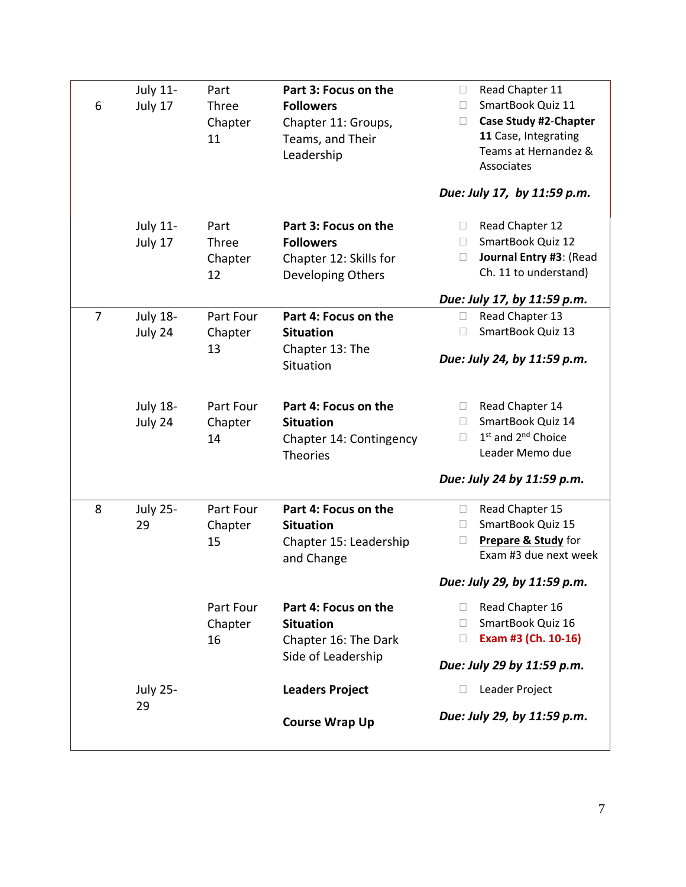| 6              | <b>July 11-</b><br>July 17 | Part<br>Three<br>Chapter<br>11 | Part 3: Focus on the<br><b>Followers</b><br>Chapter 11: Groups,<br>Teams, and Their<br>Leadership | Read Chapter 11<br>$\Box$<br>SmartBook Quiz 11<br>П<br><b>Case Study #2-Chapter</b><br>$\Box$<br>11 Case, Integrating<br>Teams at Hernandez &<br>Associates<br>Due: July 17, by 11:59 p.m. |
|----------------|----------------------------|--------------------------------|---------------------------------------------------------------------------------------------------|--------------------------------------------------------------------------------------------------------------------------------------------------------------------------------------------|
|                | <b>July 11-</b><br>July 17 | Part<br>Three<br>Chapter<br>12 | Part 3: Focus on the<br><b>Followers</b><br>Chapter 12: Skills for<br>Developing Others           | Read Chapter 12<br>$\Box$<br>SmartBook Quiz 12<br>П<br>Journal Entry #3: (Read<br>$\Box$<br>Ch. 11 to understand)<br>Due: July 17, by 11:59 p.m.                                           |
| $\overline{7}$ | <b>July 18-</b><br>July 24 | Part Four<br>Chapter<br>13     | Part 4: Focus on the<br><b>Situation</b><br>Chapter 13: The<br>Situation                          | Read Chapter 13<br>$\Box$<br>SmartBook Quiz 13<br>П<br>Due: July 24, by 11:59 p.m.                                                                                                         |
|                | <b>July 18-</b><br>July 24 | Part Four<br>Chapter<br>14     | Part 4: Focus on the<br><b>Situation</b><br>Chapter 14: Contingency<br><b>Theories</b>            | Read Chapter 14<br>П<br>SmartBook Quiz 14<br>$\mathbf{L}$<br>1 <sup>st</sup> and 2 <sup>nd</sup> Choice<br>П<br>Leader Memo due<br>Due: July 24 by 11:59 p.m.                              |
| 8              | <b>July 25-</b><br>29      | Part Four<br>Chapter<br>15     | Part 4: Focus on the<br><b>Situation</b><br>Chapter 15: Leadership<br>and Change                  | Read Chapter 15<br>$\Box$<br>SmartBook Quiz 15<br>П<br>Prepare & Study for<br>П<br>Exam #3 due next week<br>Due: July 29, by 11:59 p.m.                                                    |
|                |                            | Part Four<br>Chapter<br>16     | Part 4: Focus on the<br><b>Situation</b><br>Chapter 16: The Dark<br>Side of Leadership            | Read Chapter 16<br>П<br>SmartBook Quiz 16<br>П<br>Exam #3 (Ch. 10-16)<br>$\Box$<br>Due: July 29 by 11:59 p.m.                                                                              |
|                | <b>July 25-</b><br>29      |                                | <b>Leaders Project</b><br><b>Course Wrap Up</b>                                                   | Leader Project<br>$\Box$<br>Due: July 29, by 11:59 p.m.                                                                                                                                    |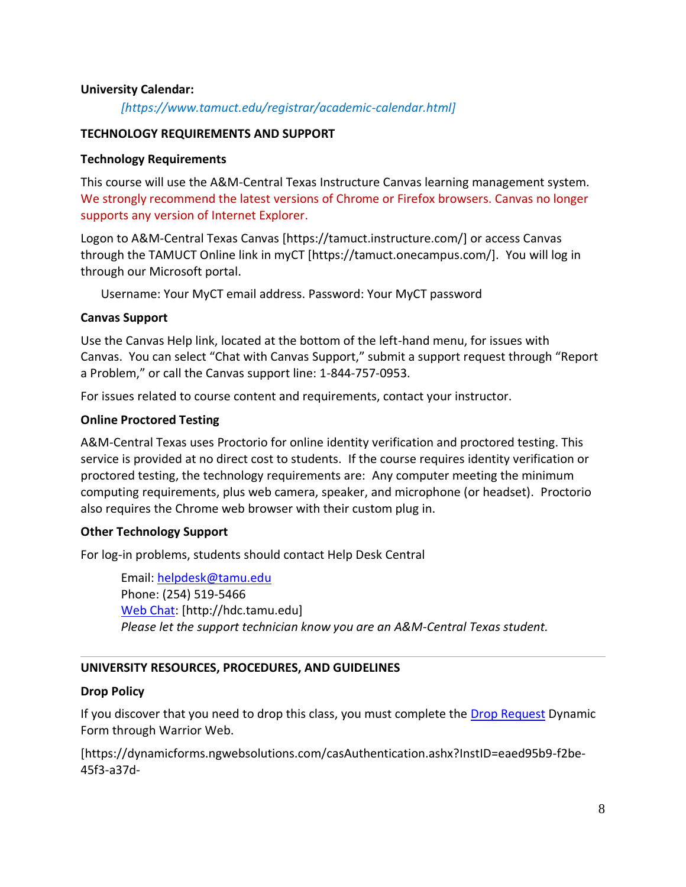#### **University Calendar:**

*[https://www.tamuct.edu/registrar/academic-calendar.html]*

#### **TECHNOLOGY REQUIREMENTS AND SUPPORT**

#### **Technology Requirements**

This course will use the A&M-Central Texas Instructure Canvas learning management system. We strongly recommend the latest versions of Chrome or Firefox browsers. Canvas no longer supports any version of Internet Explorer.

Logon to A&M-Central Texas Canvas [https://tamuct.instructure.com/] or access Canvas through the TAMUCT Online link in myCT [https://tamuct.onecampus.com/]. You will log in through our Microsoft portal.

Username: Your MyCT email address. Password: Your MyCT password

#### **Canvas Support**

Use the Canvas Help link, located at the bottom of the left-hand menu, for issues with Canvas. You can select "Chat with Canvas Support," submit a support request through "Report a Problem," or call the Canvas support line: 1-844-757-0953.

For issues related to course content and requirements, contact your instructor.

#### **Online Proctored Testing**

A&M-Central Texas uses Proctorio for online identity verification and proctored testing. This service is provided at no direct cost to students. If the course requires identity verification or proctored testing, the technology requirements are: Any computer meeting the minimum computing requirements, plus web camera, speaker, and microphone (or headset). Proctorio also requires the Chrome web browser with their custom plug in.

#### **Other Technology Support**

For log-in problems, students should contact Help Desk Central

Email: [helpdesk@tamu.edu](mailto:helpdesk@tamu.edu) Phone: (254) 519-5466 [Web Chat:](http://hdc.tamu.edu/) [http://hdc.tamu.edu] *Please let the support technician know you are an A&M-Central Texas student.*

#### **UNIVERSITY RESOURCES, PROCEDURES, AND GUIDELINES**

#### **Drop Policy**

If you discover that you need to drop this class, you must complete the [Drop Request](https://dynamicforms.ngwebsolutions.com/casAuthentication.ashx?InstID=eaed95b9-f2be-45f3-a37d-46928168bc10&targetUrl=https%3A%2F%2Fdynamicforms.ngwebsolutions.com%2FSubmit%2FForm%2FStart%2F53b8369e-0502-4f36-be43-f02a4202f612) Dynamic Form through Warrior Web.

[https://dynamicforms.ngwebsolutions.com/casAuthentication.ashx?InstID=eaed95b9-f2be-45f3-a37d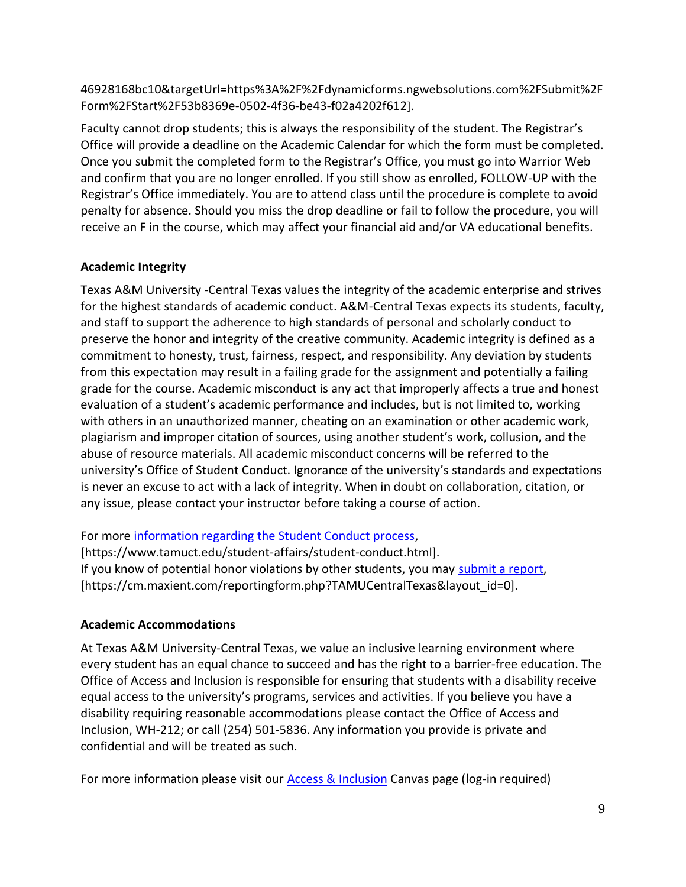46928168bc10&targetUrl=https%3A%2F%2Fdynamicforms.ngwebsolutions.com%2FSubmit%2F Form%2FStart%2F53b8369e-0502-4f36-be43-f02a4202f612].

Faculty cannot drop students; this is always the responsibility of the student. The Registrar's Office will provide a deadline on the Academic Calendar for which the form must be completed. Once you submit the completed form to the Registrar's Office, you must go into Warrior Web and confirm that you are no longer enrolled. If you still show as enrolled, FOLLOW-UP with the Registrar's Office immediately. You are to attend class until the procedure is complete to avoid penalty for absence. Should you miss the drop deadline or fail to follow the procedure, you will receive an F in the course, which may affect your financial aid and/or VA educational benefits.

# **Academic Integrity**

Texas A&M University -Central Texas values the integrity of the academic enterprise and strives for the highest standards of academic conduct. A&M-Central Texas expects its students, faculty, and staff to support the adherence to high standards of personal and scholarly conduct to preserve the honor and integrity of the creative community. Academic integrity is defined as a commitment to honesty, trust, fairness, respect, and responsibility. Any deviation by students from this expectation may result in a failing grade for the assignment and potentially a failing grade for the course. Academic misconduct is any act that improperly affects a true and honest evaluation of a student's academic performance and includes, but is not limited to, working with others in an unauthorized manner, cheating on an examination or other academic work, plagiarism and improper citation of sources, using another student's work, collusion, and the abuse of resource materials. All academic misconduct concerns will be referred to the university's Office of Student Conduct. Ignorance of the university's standards and expectations is never an excuse to act with a lack of integrity. When in doubt on collaboration, citation, or any issue, please contact your instructor before taking a course of action.

### For more [information regarding the Student Conduct process,](https://www.tamuct.edu/student-affairs/student-conduct.html)

[https://www.tamuct.edu/student-affairs/student-conduct.html]. If you know of potential honor violations by other students, you may [submit a report,](https://cm.maxient.com/reportingform.php?TAMUCentralTexas&layout_id=0) [https://cm.maxient.com/reportingform.php?TAMUCentralTexas&layout\_id=0].

# **Academic Accommodations**

At Texas A&M University-Central Texas, we value an inclusive learning environment where every student has an equal chance to succeed and has the right to a barrier-free education. The Office of Access and Inclusion is responsible for ensuring that students with a disability receive equal access to the university's programs, services and activities. If you believe you have a disability requiring reasonable accommodations please contact the Office of Access and Inclusion, WH-212; or call (254) 501-5836. Any information you provide is private and confidential and will be treated as such.

For more information please visit our [Access & Inclusion](https://tamuct.instructure.com/courses/717) Canvas page (log-in required)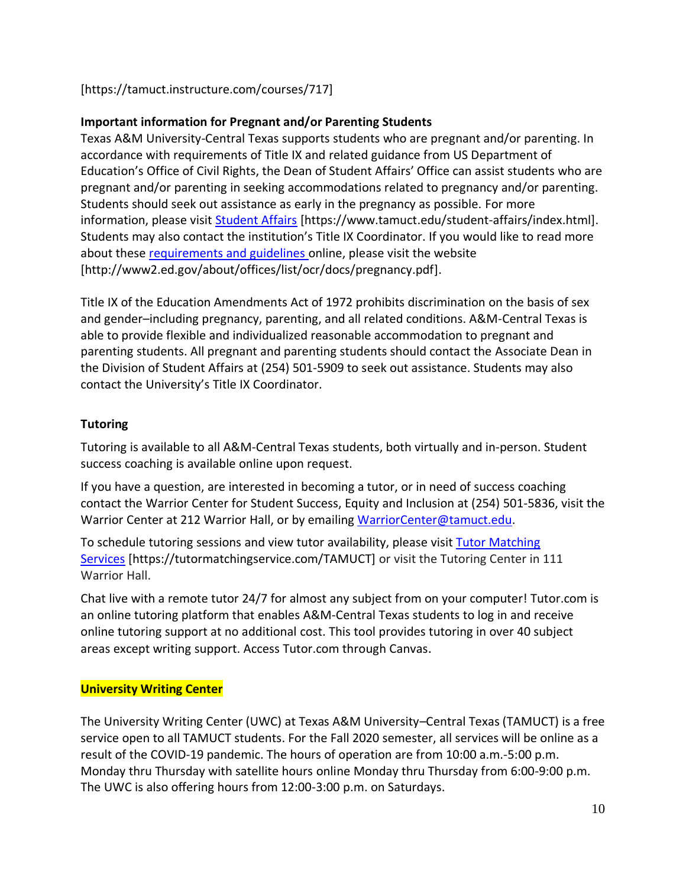[https://tamuct.instructure.com/courses/717]

# **Important information for Pregnant and/or Parenting Students**

Texas A&M University-Central Texas supports students who are pregnant and/or parenting. In accordance with requirements of Title IX and related guidance from US Department of Education's Office of Civil Rights, the Dean of Student Affairs' Office can assist students who are pregnant and/or parenting in seeking accommodations related to pregnancy and/or parenting. Students should seek out assistance as early in the pregnancy as possible. For more information, please visit [Student Affairs](https://www.tamuct.edu/student-affairs/index.html) [https://www.tamuct.edu/student-affairs/index.html]. Students may also contact the institution's Title IX Coordinator. If you would like to read more about these [requirements and guidelines](http://www2.ed.gov/about/offices/list/ocr/docs/pregnancy.pdf) online, please visit the website [http://www2.ed.gov/about/offices/list/ocr/docs/pregnancy.pdf].

Title IX of the Education Amendments Act of 1972 prohibits discrimination on the basis of sex and gender–including pregnancy, parenting, and all related conditions. A&M-Central Texas is able to provide flexible and individualized reasonable accommodation to pregnant and parenting students. All pregnant and parenting students should contact the Associate Dean in the Division of Student Affairs at (254) 501-5909 to seek out assistance. Students may also contact the University's Title IX Coordinator.

# **Tutoring**

Tutoring is available to all A&M-Central Texas students, both virtually and in-person. Student success coaching is available online upon request.

If you have a question, are interested in becoming a tutor, or in need of success coaching contact the Warrior Center for Student Success, Equity and Inclusion at (254) 501-5836, visit the Warrior Center at 212 Warrior Hall, or by emailing [WarriorCenter@tamuct.edu.](mailto:WarriorCenter@tamuct.edu)

To schedule tutoring sessions and view tutor availability, please visit Tutor [Matching](https://tutormatchingservice.com/TAMUCT) [Services](https://tutormatchingservice.com/TAMUCT) [https://tutormatchingservice.com/TAMUCT] or visit the Tutoring Center in 111 Warrior Hall.

Chat live with a remote tutor 24/7 for almost any subject from on your computer! Tutor.com is an online tutoring platform that enables A&M-Central Texas students to log in and receive online tutoring support at no additional cost. This tool provides tutoring in over 40 subject areas except writing support. Access Tutor.com through Canvas.

# **University Writing Center**

The University Writing Center (UWC) at Texas A&M University–Central Texas (TAMUCT) is a free service open to all TAMUCT students. For the Fall 2020 semester, all services will be online as a result of the COVID-19 pandemic. The hours of operation are from 10:00 a.m.-5:00 p.m. Monday thru Thursday with satellite hours online Monday thru Thursday from 6:00-9:00 p.m. The UWC is also offering hours from 12:00-3:00 p.m. on Saturdays.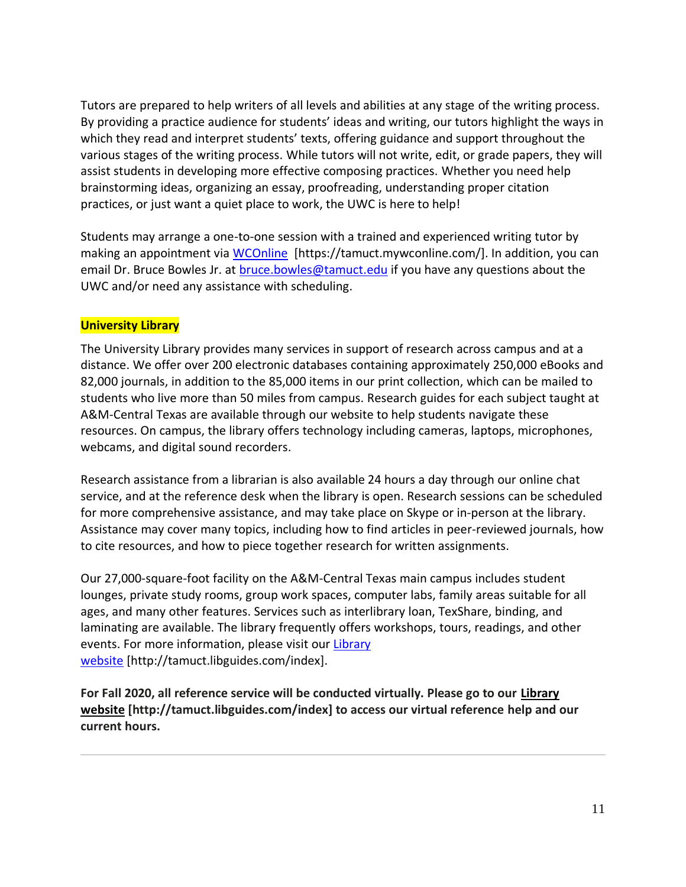Tutors are prepared to help writers of all levels and abilities at any stage of the writing process. By providing a practice audience for students' ideas and writing, our tutors highlight the ways in which they read and interpret students' texts, offering guidance and support throughout the various stages of the writing process. While tutors will not write, edit, or grade papers, they will assist students in developing more effective composing practices. Whether you need help brainstorming ideas, organizing an essay, proofreading, understanding proper citation practices, or just want a quiet place to work, the UWC is here to help!

Students may arrange a one-to-one session with a trained and experienced writing tutor by making an appointment via [WCOnline](https://tamuct.mywconline.com/) [https://tamuct.mywconline.com/]. In addition, you can email Dr. Bruce Bowles Jr. at [bruce.bowles@tamuct.edu](mailto:bruce.bowles@tamuct.edu) if you have any questions about the UWC and/or need any assistance with scheduling.

### **University Library**

The University Library provides many services in support of research across campus and at a distance. We offer over 200 electronic databases containing approximately 250,000 eBooks and 82,000 journals, in addition to the 85,000 items in our print collection, which can be mailed to students who live more than 50 miles from campus. Research guides for each subject taught at A&M-Central Texas are available through our website to help students navigate these resources. On campus, the library offers technology including cameras, laptops, microphones, webcams, and digital sound recorders.

Research assistance from a librarian is also available 24 hours a day through our online chat service, and at the reference desk when the library is open. Research sessions can be scheduled for more comprehensive assistance, and may take place on Skype or in-person at the library. Assistance may cover many topics, including how to find articles in peer-reviewed journals, how to cite resources, and how to piece together research for written assignments.

Our 27,000-square-foot facility on the A&M-Central Texas main campus includes student lounges, private study rooms, group work spaces, computer labs, family areas suitable for all ages, and many other features. Services such as interlibrary loan, TexShare, binding, and laminating are available. The library frequently offers workshops, tours, readings, and other events. For more information, please visit our [Library](https://tamuct.libguides.com/index) [website](https://tamuct.libguides.com/index) [http://tamuct.libguides.com/index].

**For Fall 2020, all reference service will be conducted virtually. Please go to our [Library](https://tamuct.libguides.com/index) [website](https://tamuct.libguides.com/index) [http://tamuct.libguides.com/index] to access our virtual reference help and our current hours.**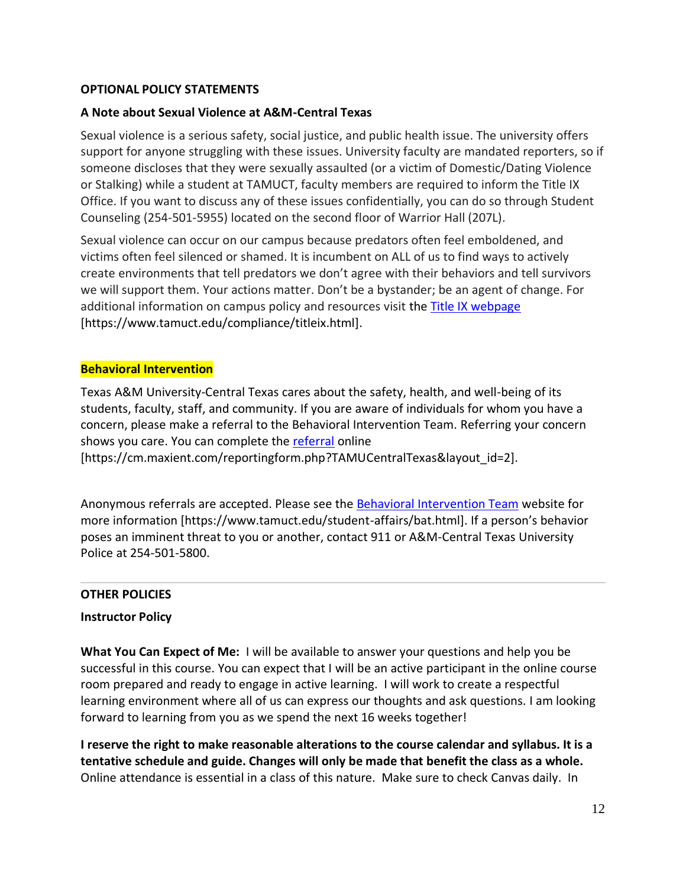### **OPTIONAL POLICY STATEMENTS**

#### **A Note about Sexual Violence at A&M-Central Texas**

Sexual violence is a serious safety, social justice, and public health issue. The university offers support for anyone struggling with these issues. University faculty are mandated reporters, so if someone discloses that they were sexually assaulted (or a victim of Domestic/Dating Violence or Stalking) while a student at TAMUCT, faculty members are required to inform the Title IX Office. If you want to discuss any of these issues confidentially, you can do so through Student Counseling (254-501-5955) located on the second floor of Warrior Hall (207L).

Sexual violence can occur on our campus because predators often feel emboldened, and victims often feel silenced or shamed. It is incumbent on ALL of us to find ways to actively create environments that tell predators we don't agree with their behaviors and tell survivors we will support them. Your actions matter. Don't be a bystander; be an agent of change. For additional information on campus policy and resources visit the [Title IX webpage](https://www.tamuct.edu/compliance/titleix.html) [\[https://www.tamuct.edu/compliance/titleix.html\]](https://www.tamuct.edu/compliance/titleix.html).

#### **Behavioral Intervention**

Texas A&M University-Central Texas cares about the safety, health, and well-being of its students, faculty, staff, and community. If you are aware of individuals for whom you have a concern, please make a referral to the Behavioral Intervention Team. Referring your concern shows you care. You can complete the [referral](https://cm.maxient.com/reportingform.php?TAMUCentralTexas&layout_id=2) online

[https://cm.maxient.com/reportingform.php?TAMUCentralTexas&layout\_id=2].

Anonymous referrals are accepted. Please see the [Behavioral Intervention Team](https://www.tamuct.edu/student-affairs/bat.html) website for more information [https://www.tamuct.edu/student-affairs/bat.html]. If a person's behavior poses an imminent threat to you or another, contact 911 or A&M-Central Texas University Police at 254-501-5800.

#### **OTHER POLICIES**

#### **Instructor Policy**

**What You Can Expect of Me:** I will be available to answer your questions and help you be successful in this course. You can expect that I will be an active participant in the online course room prepared and ready to engage in active learning. I will work to create a respectful learning environment where all of us can express our thoughts and ask questions. I am looking forward to learning from you as we spend the next 16 weeks together!

**I reserve the right to make reasonable alterations to the course calendar and syllabus. It is a tentative schedule and guide. Changes will only be made that benefit the class as a whole.**  Online attendance is essential in a class of this nature. Make sure to check Canvas daily. In